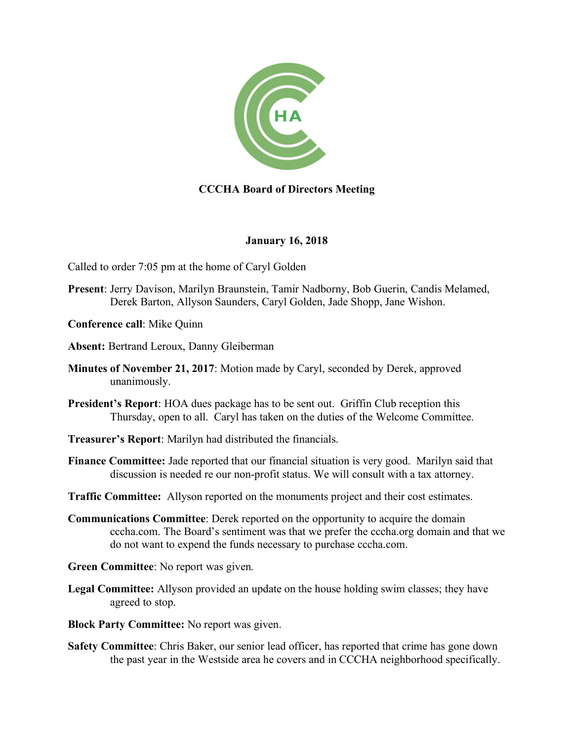

# **CCCHA Board of Directors Meeting**

## **January 16, 2018**

Called to order 7:05 pm at the home of Caryl Golden

**Present**: Jerry Davison, Marilyn Braunstein, Tamir Nadborny, Bob Guerin, Candis Melamed, Derek Barton, Allyson Saunders, Caryl Golden, Jade Shopp, Jane Wishon.

**Conference call**: Mike Quinn

**Absent:** Bertrand Leroux, Danny Gleiberman

- **Minutes of November 21, 2017**: Motion made by Caryl, seconded by Derek, approved unanimously.
- **President's Report**: HOA dues package has to be sent out. Griffin Club reception this Thursday, open to all. Caryl has taken on the duties of the Welcome Committee.
- **Treasurer's Report**: Marilyn had distributed the financials.
- **Finance Committee:** Jade reported that our financial situation is very good. Marilyn said that discussion is needed re our non-profit status. We will consult with a tax attorney.

**Traffic Committee:** Allyson reported on the monuments project and their cost estimates.

**Communications Committee**: Derek reported on the opportunity to acquire the domain cccha.com. The Board's sentiment was that we prefer the cccha.org domain and that we do not want to expend the funds necessary to purchase cccha.com.

**Green Committee**: No report was given.

**Legal Committee:** Allyson provided an update on the house holding swim classes; they have agreed to stop.

**Block Party Committee:** No report was given.

**Safety Committee**: Chris Baker, our senior lead officer, has reported that crime has gone down the past year in the Westside area he covers and in CCCHA neighborhood specifically.